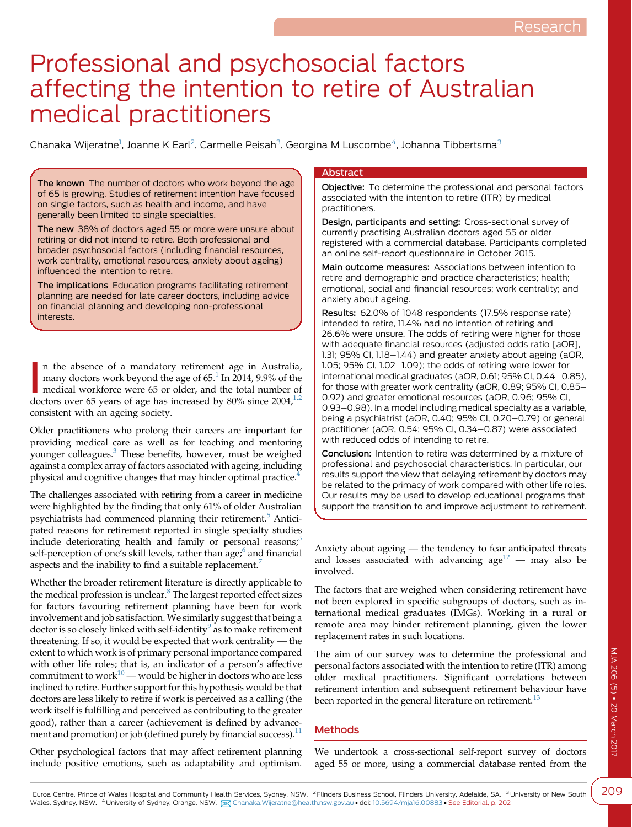# Professional and psychosocial factors affecting the intention to retire of Australian medical practitioners

Chanaka Wijeratne<sup>1</sup>, Joanne K Earl<sup>2</sup>, Carmelle Peisah<sup>3</sup>, Georgina M Luscombe<sup>4</sup>, Johanna Tibbertsma<sup>3</sup>

The known The number of doctors who work beyond the age of 65 is growing. Studies of retirement intention have focused on single factors, such as health and income, and have generally been limited to single specialties.

The new 38% of doctors aged 55 or more were unsure about retiring or did not intend to retire. Both professional and broader psychosocial factors (including financial resources, work centrality, emotional resources, anxiety about ageing) influenced the intention to retire.

The implications Education programs facilitating retirement planning are needed for late career doctors, including advice on financial planning and developing non-professional interests.

In the absence of a mandatory retirement age in Australia, many doctors work beyond the age of 65.<sup>1</sup> In 2014, 9.9% of the medical workforce were 65 or older, and the total number of doctors over 65 years of age has increa n the absence of a mandatory retirement age in Australia, many doctors work beyond the age of  $65<sup>1</sup>$  $65<sup>1</sup>$  $65<sup>1</sup>$  In 2014, 9.9% of the medical workforce were 65 or older, and the total number of consistent with an ageing society.

Older practitioners who prolong their careers are important for providing medical care as well as for teaching and mentoring younger colleagues.[3](#page-5-0) These benefits, however, must be weighed against a complex array of factors associated with ageing, including physical and cognitive changes that may hinder optimal practice.[4](#page-5-0)

The challenges associated with retiring from a career in medicine were highlighted by the finding that only 61% of older Australian psychiatrists had commenced planning their retirement.<sup>[5](#page-5-0)</sup> Anticipated reasons for retirement reported in single specialty studies include deteriorating health and family or personal reasons; $5$ self-perception of one's skill levels, rather than age;<sup>[6](#page-5-0)</sup> and financial aspects and the inability to find a suitable replacement.<sup>[7](#page-5-0)</sup>

Whether the broader retirement literature is directly applicable to the medical profession is unclear.<sup>[8](#page-5-0)</sup> The largest reported effect sizes for factors favouring retirement planning have been for work involvement and job satisfaction. We similarly suggest that being a doctor is so closely linked with self-identity $9$  as to make retirement threatening. If so, it would be expected that work centrality — the extent to which work is of primary personal importance compared with other life roles; that is, an indicator of a person's affective commitment to work $10$  — would be higher in doctors who are less inclined to retire. Further support for this hypothesis would be that doctors are less likely to retire if work is perceived as a calling (the work itself is fulfilling and perceived as contributing to the greater good), rather than a career (achievement is defined by advancement and promotion) or job (defined purely by financial success). $<sup>11</sup>$  $<sup>11</sup>$  $<sup>11</sup>$ </sup>

Other psychological factors that may affect retirement planning include positive emotions, such as adaptability and optimism.

## **Abstract**

Objective: To determine the professional and personal factors associated with the intention to retire (ITR) by medical practitioners.

Design, participants and setting: Cross-sectional survey of currently practising Australian doctors aged 55 or older registered with a commercial database. Participants completed an online self-report questionnaire in October 2015.

Main outcome measures: Associations between intention to retire and demographic and practice characteristics; health; emotional, social and financial resources; work centrality; and anxiety about ageing.

Results: 62.0% of 1048 respondents (17.5% response rate) intended to retire, 11.4% had no intention of retiring and 26.6% were unsure. The odds of retiring were higher for those with adequate financial resources (adjusted odds ratio [aOR], 1.31; 95% CI,  $1.18-1.44$ ) and greater anxiety about ageing (aOR, 1.05; 95% CI, 1.02-1.09); the odds of retiring were lower for international medical graduates (aOR, 0.61; 95% CI, 0.44-0.85), for those with greater work centrality (aOR, 0.89; 95% CI, 0.85-0.92) and greater emotional resources (aOR, 0.96; 95% CI, 0.93-0.98). In a model including medical specialty as a variable, being a psychiatrist (aOR, 0.40; 95% CI, 0.20-0.79) or general practitioner (aOR, 0.54; 95% CI, 0.34-0.87) were associated with reduced odds of intending to retire.

Conclusion: Intention to retire was determined by a mixture of professional and psychosocial characteristics. In particular, our results support the view that delaying retirement by doctors may be related to the primacy of work compared with other life roles. Our results may be used to develop educational programs that support the transition to and improve adjustment to retirement.

Anxiety about ageing — the tendency to fear anticipated threats and losses associated with advancing  $age^{12}$  $age^{12}$  $age^{12}$  — may also be involved.

The factors that are weighed when considering retirement have not been explored in specific subgroups of doctors, such as international medical graduates (IMGs). Working in a rural or remote area may hinder retirement planning, given the lower replacement rates in such locations.

The aim of our survey was to determine the professional and personal factors associated with the intention to retire (ITR) among older medical practitioners. Significant correlations between retirement intention and subsequent retirement behaviour have been reported in the general literature on retirement.<sup>[13](#page-5-0)</sup>

# Methods

We undertook a cross-sectional self-report survey of doctors aged 55 or more, using a commercial database rented from the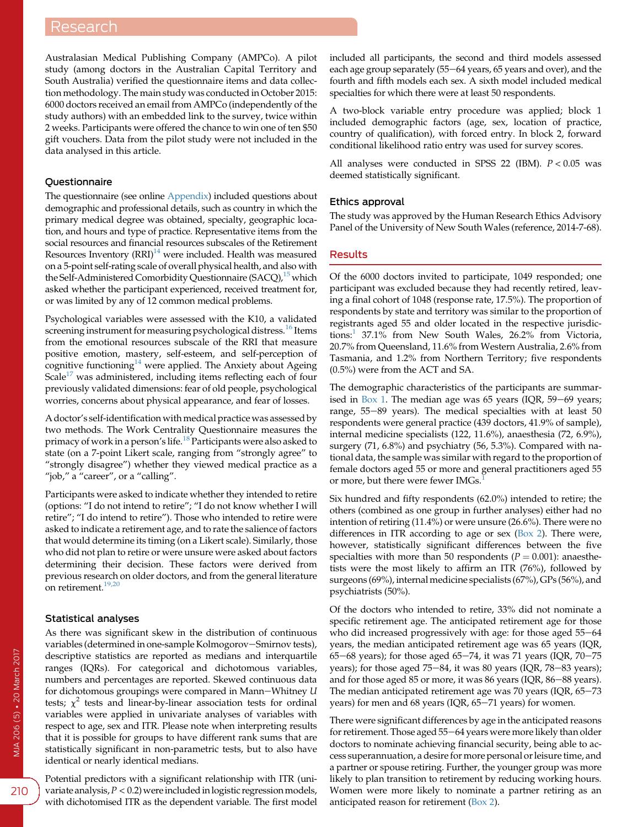Australasian Medical Publishing Company (AMPCo). A pilot study (among doctors in the Australian Capital Territory and South Australia) verified the questionnaire items and data collection methodology. The main study was conducted in October 2015: 6000 doctors received an email from AMPCo (independently of the study authors) with an embedded link to the survey, twice within 2 weeks. Participants were offered the chance to win one of ten \$50 gift vouchers. Data from the pilot study were not included in the data analysed in this article.

# **Questionnaire**

The questionnaire (see online [Appendix](https://www.mja.com.au/sites/default/files/issues/206_05/10.5694mja16.00883_Appendix.pdf)) included questions about demographic and professional details, such as country in which the primary medical degree was obtained, specialty, geographic location, and hours and type of practice. Representative items from the social resources and financial resources subscales of the Retirement Resources Inventory  $(RRI)^{14}$  $(RRI)^{14}$  $(RRI)^{14}$  were included. Health was measured on a 5-point self-rating scale of overall physical health, and also with the Self-Administered Comorbidity Questionnaire (SACQ),<sup>[15](#page-5-0)</sup> which asked whether the participant experienced, received treatment for, or was limited by any of 12 common medical problems.

Psychological variables were assessed with the K10, a validated screening instrument for measuring psychological distress.<sup>[16](#page-5-0)</sup> Items from the emotional resources subscale of the RRI that measure positive emotion, mastery, self-esteem, and self-perception of cognitive functioning<sup>[14](#page-5-0)</sup> were applied. The Anxiety about Ageing Scale<sup>[17](#page-5-0)</sup> was administered, including items reflecting each of four previously validated dimensions: fear of old people, psychological worries, concerns about physical appearance, and fear of losses.

A doctor's self-identification with medical practice was assessed by two methods. The Work Centrality Questionnaire measures the primacy of work in a person's life.<sup>[18](#page-5-0)</sup> Participants were also asked to state (on a 7-point Likert scale, ranging from "strongly agree" to "strongly disagree") whether they viewed medical practice as a "job," a "career", or a "calling".

Participants were asked to indicate whether they intended to retire (options: "I do not intend to retire"; "I do not know whether I will retire"; "I do intend to retire"). Those who intended to retire were asked to indicate a retirement age, and to rate the salience of factors that would determine its timing (on a Likert scale). Similarly, those who did not plan to retire or were unsure were asked about factors determining their decision. These factors were derived from previous research on older doctors, and from the general literature on retirement.<sup>[19,20](#page-5-0)</sup>

#### Statistical analyses

As there was significant skew in the distribution of continuous variables (determined in one-sample Kolmogorov-Smirnov tests), descriptive statistics are reported as medians and interquartile ranges (IQRs). For categorical and dichotomous variables, numbers and percentages are reported. Skewed continuous data for dichotomous groupings were compared in Mann-Whitney U tests;  $\chi^2$  tests and linear-by-linear association tests for ordinal variables were applied in univariate analyses of variables with respect to age, sex and ITR. Please note when interpreting results that it is possible for groups to have different rank sums that are statistically significant in non-parametric tests, but to also have identical or nearly identical medians.

Potential predictors with a significant relationship with ITR (univariate analysis,  $P < 0.2$ ) were included in logistic regression models, with dichotomised ITR as the dependent variable. The first model included all participants, the second and third models assessed each age group separately (55-64 years, 65 years and over), and the fourth and fifth models each sex. A sixth model included medical specialties for which there were at least 50 respondents.

A two-block variable entry procedure was applied; block 1 included demographic factors (age, sex, location of practice, country of qualification), with forced entry. In block 2, forward conditional likelihood ratio entry was used for survey scores.

All analyses were conducted in SPSS 22 (IBM).  $P < 0.05$  was deemed statistically significant.

#### Ethics approval

The study was approved by the Human Research Ethics Advisory Panel of the University of New South Wales (reference, 2014-7-68).

### Results

Of the 6000 doctors invited to participate, 1049 responded; one participant was excluded because they had recently retired, leaving a final cohort of 1048 (response rate, 17.5%). The proportion of respondents by state and territory was similar to the proportion of registrants aged 55 and older located in the respective jurisdic-tions:<sup>[1](#page-5-0)</sup> 37.1% from New South Wales, 26.2% from Victoria, 20.7% from Queensland, 11.6% from Western Australia, 2.6% from Tasmania, and 1.2% from Northern Territory; five respondents (0.5%) were from the ACT and SA.

The demographic characteristics of the participants are summar-ised in [Box 1](#page-2-0). The median age was  $65$  years (IQR,  $59-69$  years; range, 55-89 years). The medical specialties with at least 50 respondents were general practice (439 doctors, 41.9% of sample), internal medicine specialists (122, 11.6%), anaesthesia (72, 6.9%), surgery (71, 6.8%) and psychiatry (56, 5.3%). Compared with national data, the sample was similar with regard to the proportion of female doctors aged 55 or more and general practitioners aged 55 or more, but there were fewer IMGs.

Six hundred and fifty respondents (62.0%) intended to retire; the others (combined as one group in further analyses) either had no intention of retiring (11.4%) or were unsure (26.6%). There were no differences in ITR according to age or sex  $(Box 2)$  $(Box 2)$ . There were, however, statistically significant differences between the five specialties with more than 50 respondents ( $P = 0.001$ ): anaesthetists were the most likely to affirm an ITR (76%), followed by surgeons (69%), internal medicine specialists (67%), GPs (56%), and psychiatrists (50%).

Of the doctors who intended to retire, 33% did not nominate a specific retirement age. The anticipated retirement age for those who did increased progressively with age: for those aged  $55-64$ years, the median anticipated retirement age was 65 years (IQR, 65-68 years); for those aged 65-74, it was 71 years (IQR, 70-75 years); for those aged  $75-84$ , it was 80 years (IQR, 78-83 years); and for those aged 85 or more, it was 86 years (IQR, 86-88 years). The median anticipated retirement age was  $70$  years (IQR,  $65-73$ years) for men and 68 years (IQR, 65-71 years) for women.

There were significant differences by age in the anticipated reasons for retirement. Those aged 55-64 years were more likely than older doctors to nominate achieving financial security, being able to access superannuation, a desire for more personal or leisure time, and a partner or spouse retiring. Further, the younger group was more likely to plan transition to retirement by reducing working hours. Women were more likely to nominate a partner retiring as an anticipated reason for retirement [\(Box 2\)](#page-2-0).

210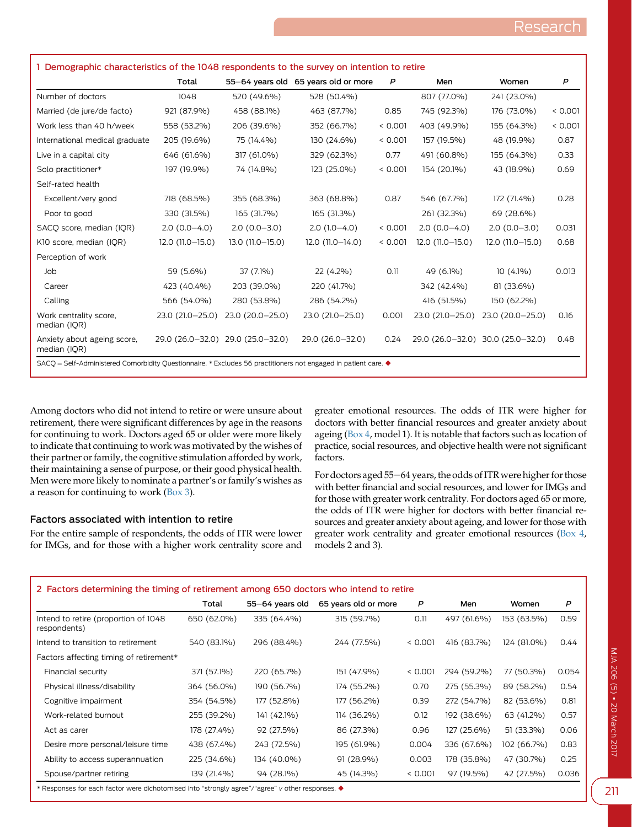<span id="page-2-0"></span>

| 1 Demographic characteristics of the 1048 respondents to the survey on intention to retire                     |                    |                                   |                                      |         |                  |                                   |         |  |
|----------------------------------------------------------------------------------------------------------------|--------------------|-----------------------------------|--------------------------------------|---------|------------------|-----------------------------------|---------|--|
|                                                                                                                | Total              |                                   | 55-64 years old 65 years old or more | P       | Men              | Women                             | P       |  |
| Number of doctors                                                                                              | 1048               | 520 (49.6%)                       | 528 (50.4%)                          |         | 807 (77.0%)      | 241 (23.0%)                       |         |  |
| Married (de jure/de facto)                                                                                     | 921 (87.9%)        | 458 (88.1%)                       | 463 (87.7%)                          | 0.85    | 745 (92.3%)      | 176 (73.0%)                       | < 0.001 |  |
| Work less than 40 h/week                                                                                       | 558 (53.2%)        | 206 (39.6%)                       | 352 (66.7%)                          | < 0.001 | 403 (49.9%)      | 155 (64.3%)                       | < 0.001 |  |
| International medical graduate                                                                                 | 205 (19.6%)        | 75 (14.4%)                        | 130 (24.6%)                          | < 0.001 | 157 (19.5%)      | 48 (19.9%)                        | 0.87    |  |
| Live in a capital city                                                                                         | 646 (61.6%)        | 317 (61.0%)                       | 329 (62.3%)                          | 0.77    | 491 (60.8%)      | 155 (64.3%)                       | 0.33    |  |
| Solo practitioner*                                                                                             | 197 (19.9%)        | 74 (14.8%)                        | 123 (25.0%)                          | < 0.001 | 154 (20.1%)      | 43 (18.9%)                        | 0.69    |  |
| Self-rated health                                                                                              |                    |                                   |                                      |         |                  |                                   |         |  |
| Excellent/very good                                                                                            | 718 (68.5%)        | 355 (68.3%)                       | 363 (68.8%)                          | 0.87    | 546 (67.7%)      | 172 (71.4%)                       | 0.28    |  |
| Poor to good                                                                                                   | 330 (31.5%)        | 165 (31.7%)                       | 165 (31.3%)                          |         | 261 (32.3%)      | 69 (28.6%)                        |         |  |
| SACO score, median (IOR)                                                                                       | $2.0(0.0-4.0)$     | $2.0(0.0 - 3.0)$                  | $2.0(1.0-4.0)$                       | < 0.001 | $2.0(0.0-4.0)$   | $2.0(0.0 - 3.0)$                  | 0.031   |  |
| K10 score, median (IQR)                                                                                        | $12.0$ (11.0-15.0) | $13.0(11.0 - 15.0)$               | 12.0 (11.0-14.0)                     | < 0.001 | 12.0 (11.0-15.0) | $12.0(11.0 - 15.0)$               | 0.68    |  |
| Perception of work                                                                                             |                    |                                   |                                      |         |                  |                                   |         |  |
| Job                                                                                                            | 59 (5.6%)          | 37 (7.1%)                         | 22 (4.2%)                            | 0.11    | 49 (6.1%)        | $10(4.1\%)$                       | 0.013   |  |
| Career                                                                                                         | 423 (40.4%)        | 203 (39.0%)                       | 220 (41.7%)                          |         | 342 (42.4%)      | 81 (33.6%)                        |         |  |
| Calling                                                                                                        | 566 (54.0%)        | 280 (53.8%)                       | 286 (54.2%)                          |         | 416 (51.5%)      | 150 (62.2%)                       |         |  |
| Work centrality score,<br>median (IQR)                                                                         | 23.0 (21.0-25.0)   | 23.0 (20.0-25.0)                  | 23.0 (21.0-25.0)                     | 0.001   | 23.0 (21.0-25.0) | 23.0 (20.0-25.0)                  | 0.16    |  |
| Anxiety about ageing score,<br>median (IQR)                                                                    |                    | 29.0 (26.0-32.0) 29.0 (25.0-32.0) | 29.0 (26.0-32.0)                     | 0.24    |                  | 29.0 (26.0-32.0) 30.0 (25.0-32.0) | 0.48    |  |
| SACQ = Self-Administered Comorbidity Questionnaire. * Excludes 56 practitioners not engaged in patient care. ◆ |                    |                                   |                                      |         |                  |                                   |         |  |

Among doctors who did not intend to retire or were unsure about retirement, there were significant differences by age in the reasons for continuing to work. Doctors aged 65 or older were more likely to indicate that continuing to work was motivated by the wishes of their partner or family, the cognitive stimulation afforded by work, their maintaining a sense of purpose, or their good physical health. Men were more likely to nominate a partner's or family's wishes as a reason for continuing to work [\(Box 3\)](#page-3-0).

# Factors associated with intention to retire

For the entire sample of respondents, the odds of ITR were lower for IMGs, and for those with a higher work centrality score and greater emotional resources. The odds of ITR were higher for doctors with better financial resources and greater anxiety about ageing [\(Box 4](#page-4-0), model 1). It is notable that factors such as location of practice, social resources, and objective health were not significant factors.

For doctors aged 55-64 years, the odds of ITR were higher for those with better financial and social resources, and lower for IMGs and for those with greater work centrality. For doctors aged 65 or more, the odds of ITR were higher for doctors with better financial resources and greater anxiety about ageing, and lower for those with greater work centrality and greater emotional resources ([Box 4](#page-4-0), models 2 and 3).

| 2 Factors determining the timing of retirement among 650 doctors who intend to retire |             |                 |                      |         |             |             |       |  |
|---------------------------------------------------------------------------------------|-------------|-----------------|----------------------|---------|-------------|-------------|-------|--|
|                                                                                       | Total       | 55-64 years old | 65 years old or more | P       | Men         | Women       | P     |  |
| Intend to retire (proportion of 1048)<br>respondents)                                 | 650 (62.0%) | 335 (64.4%)     | 315 (59.7%)          | 0.11    | 497 (61.6%) | 153 (63.5%) | 0.59  |  |
| Intend to transition to retirement                                                    | 540 (83.1%) | 296 (88.4%)     | 244 (77.5%)          | < 0.001 | 416 (83.7%) | 124 (81.0%) | 0.44  |  |
| Factors affecting timing of retirement*                                               |             |                 |                      |         |             |             |       |  |
| Financial security                                                                    | 371 (57.1%) | 220 (65.7%)     | 151 (47.9%)          | < 0.001 | 294 (59.2%) | 77 (50.3%)  | 0.054 |  |
| Physical illness/disability                                                           | 364 (56.0%) | 190 (56.7%)     | 174 (55.2%)          | 0.70    | 275 (55.3%) | 89 (58.2%)  | 0.54  |  |
| Cognitive impairment                                                                  | 354 (54.5%) | 177 (52.8%)     | 177 (56.2%)          | 0.39    | 272 (54.7%) | 82 (53.6%)  | 0.81  |  |
| Work-related burnout                                                                  | 255 (39.2%) | 141 (42.1%)     | 114 (36.2%)          | 0.12    | 192 (38.6%) | 63 (41.2%)  | 0.57  |  |
| Act as carer                                                                          | 178 (27.4%) | 92 (27.5%)      | 86 (27.3%)           | 0.96    | 127 (25.6%) | 51 (33.3%)  | 0.06  |  |
| Desire more personal/leisure time                                                     | 438 (67.4%) | 243 (72.5%)     | 195 (61.9%)          | 0.004   | 336 (67.6%) | 102 (66.7%) | 0.83  |  |
| Ability to access superannuation                                                      | 225 (34.6%) | 134 (40.0%)     | 91 (28.9%)           | 0.003   | 178 (35.8%) | 47 (30.7%)  | 0.25  |  |
| Spouse/partner retiring                                                               | 139 (21.4%) | 94 (28.1%)      | 45 (14.3%)           | < 0.001 | 97 (19.5%)  | 42 (27.5%)  | 0.036 |  |

\* Responses for each factor were dichotomised into "strongly agree"/"agree" v other responses.  $\blacklozenge$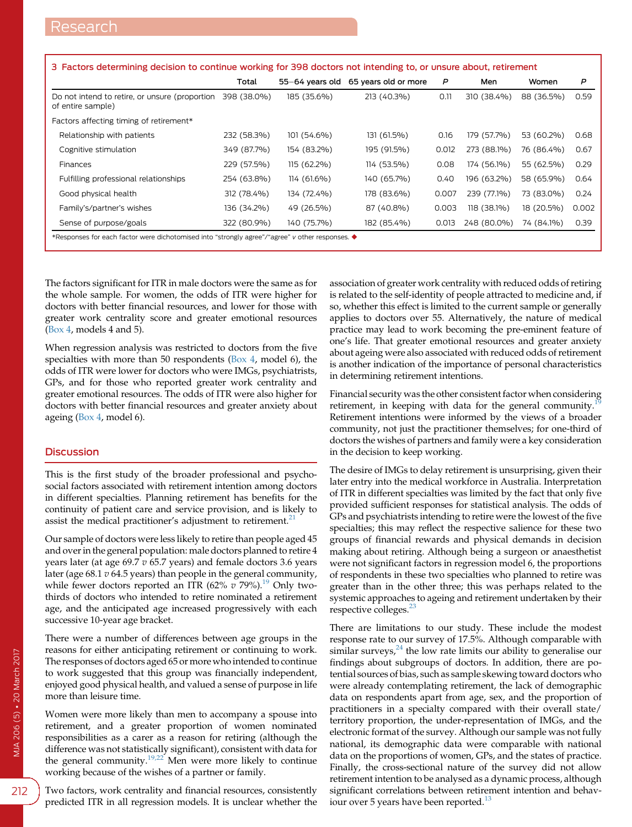<span id="page-3-0"></span>

| 3 Factors determining decision to continue working for 398 doctors not intending to, or unsure about, retirement |             |                 |                      |       |             |            |       |
|------------------------------------------------------------------------------------------------------------------|-------------|-----------------|----------------------|-------|-------------|------------|-------|
|                                                                                                                  | Total       | 55-64 vears old | 65 years old or more | P     | Men         | Women      | P     |
| Do not intend to retire, or unsure (proportion<br>of entire sample)                                              | 398 (38.0%) | 185 (35.6%)     | 213 (40.3%)          | 0.11  | 310 (38.4%) | 88 (36.5%) | 0.59  |
| Factors affecting timing of retirement*                                                                          |             |                 |                      |       |             |            |       |
| Relationship with patients                                                                                       | 232 (58.3%) | 101 (54.6%)     | 131 (61.5%)          | 0.16  | 179 (57.7%) | 53 (60.2%) | 0.68  |
| Cognitive stimulation                                                                                            | 349 (87.7%) | 154 (83.2%)     | 195 (91.5%)          | 0.012 | 273 (88.1%) | 76 (86.4%) | 0.67  |
| <b>Finances</b>                                                                                                  | 229 (57.5%) | 115 (62.2%)     | 114 (53.5%)          | 0.08  | 174 (56.1%) | 55 (62.5%) | 0.29  |
| Fulfilling professional relationships                                                                            | 254 (63.8%) | 114 (61.6%)     | 140 (65.7%)          | 0.40  | 196 (63.2%) | 58 (65.9%) | 0.64  |
| Good physical health                                                                                             | 312 (78.4%) | 134 (72.4%)     | 178 (83.6%)          | 0.007 | 239 (77.1%) | 73 (83.0%) | 0.24  |
| Family's/partner's wishes                                                                                        | 136 (34.2%) | 49 (26.5%)      | 87 (40.8%)           | 0.003 | 118 (38.1%) | 18 (20.5%) | 0.002 |
| Sense of purpose/goals                                                                                           | 322 (80.9%) | 140 (75.7%)     | 182 (85.4%)          | 0.013 | 248 (80.0%) | 74 (84.1%) | 0.39  |
| *Responses for each factor were dichotomised into "strongly agree"/"agree" v other responses. $\blacklozenge$    |             |                 |                      |       |             |            |       |

The factors significant for ITR in male doctors were the same as for the whole sample. For women, the odds of ITR were higher for doctors with better financial resources, and lower for those with greater work centrality score and greater emotional resources [\(Box 4](#page-4-0), models 4 and 5).

When regression analysis was restricted to doctors from the five specialties with more than 50 respondents ([Box 4](#page-4-0), model 6), the odds of ITR were lower for doctors who were IMGs, psychiatrists, GPs, and for those who reported greater work centrality and greater emotional resources. The odds of ITR were also higher for doctors with better financial resources and greater anxiety about ageing ([Box 4](#page-4-0), model 6).

# **Discussion**

This is the first study of the broader professional and psychosocial factors associated with retirement intention among doctors in different specialties. Planning retirement has benefits for the continuity of patient care and service provision, and is likely to assist the medical practitioner's adjustment to retirement. $21$ 

Our sample of doctors were less likely to retire than people aged 45 and over in the general population: male doctors planned to retire 4 years later (at age  $69.7 v 65.7$  years) and female doctors  $3.6$  years later (age  $68.1 v 64.5$  years) than people in the general community, while fewer doctors reported an ITR  $(62\% \ v 79\%).$ <sup>[19](#page-5-0)</sup> Only twothirds of doctors who intended to retire nominated a retirement age, and the anticipated age increased progressively with each successive 10-year age bracket.

There were a number of differences between age groups in the reasons for either anticipating retirement or continuing to work. The responses of doctors aged 65 or more who intended to continue to work suggested that this group was financially independent, enjoyed good physical health, and valued a sense of purpose in life more than leisure time.

Women were more likely than men to accompany a spouse into retirement, and a greater proportion of women nominated responsibilities as a carer as a reason for retiring (although the difference was not statistically significant), consistent with data for the general community.<sup>[19,22](#page-5-0)</sup> Men were more likely to continue working because of the wishes of a partner or family.

Two factors, work centrality and financial resources, consistently predicted ITR in all regression models. It is unclear whether the

association of greater work centrality with reduced odds of retiring is related to the self-identity of people attracted to medicine and, if so, whether this effect is limited to the current sample or generally applies to doctors over 55. Alternatively, the nature of medical practice may lead to work becoming the pre-eminent feature of one's life. That greater emotional resources and greater anxiety about ageing were also associated with reduced odds of retirement is another indication of the importance of personal characteristics in determining retirement intentions.

Financial security was the other consistent factor when considering retirement, in keeping with data for the general community.<sup>[19](#page-5-0)</sup> Retirement intentions were informed by the views of a broader community, not just the practitioner themselves; for one-third of doctors the wishes of partners and family were a key consideration in the decision to keep working.

The desire of IMGs to delay retirement is unsurprising, given their later entry into the medical workforce in Australia. Interpretation of ITR in different specialties was limited by the fact that only five provided sufficient responses for statistical analysis. The odds of GPs and psychiatrists intending to retire were the lowest of the five specialties; this may reflect the respective salience for these two groups of financial rewards and physical demands in decision making about retiring. Although being a surgeon or anaesthetist were not significant factors in regression model 6, the proportions of respondents in these two specialties who planned to retire was greater than in the other three; this was perhaps related to the systemic approaches to ageing and retirement undertaken by their respective colleges.<sup>[23](#page-5-0)</sup>

There are limitations to our study. These include the modest response rate to our survey of 17.5%. Although comparable with similar surveys,  $24$  the low rate limits our ability to generalise our findings about subgroups of doctors. In addition, there are potential sources of bias, such as sample skewing toward doctors who were already contemplating retirement, the lack of demographic data on respondents apart from age, sex, and the proportion of practitioners in a specialty compared with their overall state/ territory proportion, the under-representation of IMGs, and the electronic format of the survey. Although our sample was not fully national, its demographic data were comparable with national data on the proportions of women, GPs, and the states of practice. Finally, the cross-sectional nature of the survey did not allow retirement intention to be analysed as a dynamic process, although significant correlations between retirement intention and behav-iour over 5 years have been reported.<sup>[13](#page-5-0)</sup>

212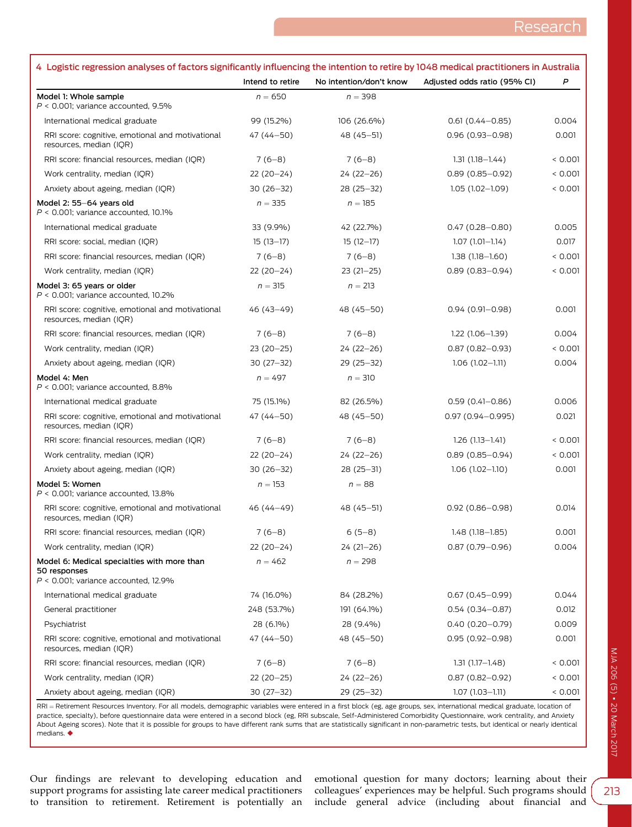<span id="page-4-0"></span>

| 4 Logistic regression analyses of factors significantly influencing the intention to retire by 1048 medical practitioners in Australia |                  |                         |                              |         |
|----------------------------------------------------------------------------------------------------------------------------------------|------------------|-------------------------|------------------------------|---------|
|                                                                                                                                        | Intend to retire | No intention/don't know | Adjusted odds ratio (95% CI) | P       |
| Model 1: Whole sample<br>$P < 0.001$ ; variance accounted, 9.5%                                                                        | $n = 650$        | $n = 398$               |                              |         |
| International medical graduate                                                                                                         | 99 (15.2%)       | 106 (26.6%)             | $0.61(0.44 - 0.85)$          | 0.004   |
| RRI score: cognitive, emotional and motivational<br>resources, median (IQR)                                                            | 47 (44 - 50)     | 48 (45-51)              | $0.96(0.93 - 0.98)$          | 0.001   |
| RRI score: financial resources, median (IQR)                                                                                           | $7(6-8)$         | $7(6-8)$                | $1.31(1.18 - 1.44)$          | < 0.001 |
| Work centrality, median (IQR)                                                                                                          | $22(20-24)$      | 24 (22-26)              | $0.89(0.85 - 0.92)$          | < 0.001 |
| Anxiety about ageing, median (IQR)                                                                                                     | $30(26-32)$      | 28 (25 - 32)            | $1.05(1.02 - 1.09)$          | < 0.001 |
| Model 2: 55-64 years old<br>$P < 0.001$ ; variance accounted, 10.1%                                                                    | $n = 335$        | $n = 185$               |                              |         |
| International medical graduate                                                                                                         | 33 (9.9%)        | 42 (22.7%)              | $0.47(0.28 - 0.80)$          | 0.005   |
| RRI score: social, median (IQR)                                                                                                        | $15(13-17)$      | $15(12-17)$             | $1.07(1.01 - 1.14)$          | 0.017   |
| RRI score: financial resources, median (IQR)                                                                                           | $7(6-8)$         | $7(6-8)$                | $1.38(1.18 - 1.60)$          | < 0.001 |
| Work centrality, median (IQR)                                                                                                          | 22 (20-24)       | $23(21-25)$             | $0.89(0.83 - 0.94)$          | < 0.001 |
| Model 3: 65 years or older<br>$P < 0.001$ ; variance accounted, 10.2%                                                                  | $n = 315$        | $n = 213$               |                              |         |
| RRI score: cognitive, emotional and motivational<br>resources, median (IQR)                                                            | 46 (43-49)       | 48 (45 - 50)            | $0.94(0.91 - 0.98)$          | 0.001   |
| RRI score: financial resources, median (IQR)                                                                                           | $7(6-8)$         | $7(6-8)$                | $1.22(1.06 - 1.39)$          | 0.004   |
| Work centrality, median (IQR)                                                                                                          | $23(20-25)$      | 24 (22-26)              | $0.87(0.82 - 0.93)$          | < 0.001 |
| Anxiety about ageing, median (IQR)                                                                                                     | 30 (27-32)       | 29 (25-32)              | $1.06(1.02 - 1.11)$          | 0.004   |
| Model 4: Men<br>$P < 0.001$ ; variance accounted, 8.8%                                                                                 | $n = 497$        | $n = 310$               |                              |         |
| International medical graduate                                                                                                         | 75 (15.1%)       | 82 (26.5%)              | $0.59(0.41 - 0.86)$          | 0.006   |
| RRI score: cognitive, emotional and motivational<br>resources, median (IQR)                                                            | 47 (44 - 50)     | 48 (45 - 50)            | $0.97(0.94 - 0.995)$         | 0.021   |
| RRI score: financial resources, median (IQR)                                                                                           | $7(6-8)$         | $7(6-8)$                | $1.26(1.13 - 1.41)$          | < 0.001 |
| Work centrality, median (IQR)                                                                                                          | $22(20-24)$      | 24 (22-26)              | $0.89(0.85 - 0.94)$          | < 0.001 |
| Anxiety about ageing, median (IQR)                                                                                                     | $30(26-32)$      | $28(25-31)$             | $1.06(1.02 - 1.10)$          | 0.001   |
| Model 5: Women<br>$P < 0.001$ ; variance accounted, 13.8%                                                                              | $n = 153$        | $n = 88$                |                              |         |
| RRI score: cognitive, emotional and motivational<br>resources, median (IQR)                                                            | 46 (44–49)       | 48 (45 - 51)            | $0.92(0.86 - 0.98)$          | 0.014   |
| RRI score: financial resources, median (IOR)                                                                                           | $7(6-8)$         | $6(5-8)$                | $1.48(1.18-1.85)$            | 0.001   |
| Work centrality, median (IQR)                                                                                                          | 22 (20–24)       | $24(21-26)$             | $0.87(0.79 - 0.96)$          | 0.004   |
| Model 6: Medical specialties with more than<br>50 responses<br>$P < 0.001$ ; variance accounted, 12.9%                                 | $n = 462$        | $n = 298$               |                              |         |
| International medical graduate                                                                                                         | 74 (16.0%)       | 84 (28.2%)              | $0.67(0.45 - 0.99)$          | 0.044   |
| General practitioner                                                                                                                   | 248 (53.7%)      | 191 (64.1%)             | $0.54(0.34 - 0.87)$          | 0.012   |
| Psychiatrist                                                                                                                           | 28 (6.1%)        | 28 (9.4%)               | $0.40(0.20 - 0.79)$          | 0.009   |
| RRI score: cognitive, emotional and motivational<br>resources, median (IOR)                                                            | 47 (44 - 50)     | 48 (45 - 50)            | $0.95(0.92 - 0.98)$          | 0.001   |
| RRI score: financial resources, median (IQR)                                                                                           | $7(6-8)$         | $7(6-8)$                | $1.31(1.17 - 1.48)$          | < 0.001 |
| Work centrality, median (IQR)                                                                                                          | 22 (20 - 25)     | 24 (22-26)              | $0.87(0.82 - 0.92)$          | < 0.001 |
| Anxiety about ageing, median (IQR)                                                                                                     | $30(27-32)$      | 29 (25-32)              | $1.07(1.03 - 1.11)$          | < 0.001 |

RRI = Retirement Resources Inventory. For all models, demographic variables were entered in a first block (eg, age groups, sex, international medical graduate, location of practice, specialty), before questionnaire data were entered in a second block (eg, RRI subscale, Self-Administered Comorbidity Questionnaire, work centrality, and Anxiety About Ageing scores). Note that it is possible for groups to have different rank sums that are statistically significant in non-parametric tests, but identical or nearly identical medians.  $\blacklozenge$ 

Our findings are relevant to developing education and support programs for assisting late career medical practitioners to transition to retirement. Retirement is potentially an

emotional question for many doctors; learning about their colleagues' experiences may be helpful. Such programs should include general advice (including about financial and